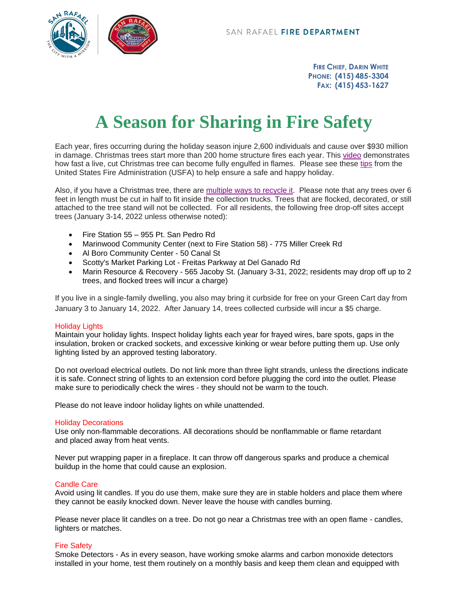

**FIRE CHIEF, DARIN WHITE PHONE: (415) 485-3304 FAX: (415) 453-1627**

# **A Season for Sharing in Fire Safety**

Each year, fires occurring during the holiday season injure 2,600 individuals and cause over \$930 million in damage. Christmas trees start more than 200 home structure fires each year. This [video](https://youtu.be/0u5jCPHmevE) demonstrates how fast a live, cut Christmas tree can become fully engulfed in flames. Please see these [tips](https://www.usfa.fema.gov/prevention/outreach/holiday.html) from the United States Fire Administration (USFA) to help ensure a safe and happy holiday.

Also, if you have a Christmas tree, there are [multiple ways to recycle](https://zerowastemarin.org/residents/zero-waste-resources/christmas-tree-recycling/) it. Please note that any trees over 6 feet in length must be cut in half to fit inside the collection trucks. Trees that are flocked, decorated, or still attached to the tree stand will not be collected. For all residents, the following free drop-off sites accept trees (January 3-14, 2022 unless otherwise noted):

- Fire Station 55 955 Pt. San Pedro Rd
- Marinwood Community Center (next to Fire Station 58) 775 Miller Creek Rd
- Al Boro Community Center 50 Canal St
- Scotty's Market Parking Lot Freitas Parkway at Del Ganado Rd
- Marin Resource & Recovery 565 Jacoby St. (January 3-31, 2022; residents may drop off up to 2 trees, and flocked trees will incur a charge)

If you live in a single-family dwelling, you also may bring it curbside for free on your Green Cart day from January 3 to January 14, 2022. After January 14, trees collected curbside will incur a \$5 charge.

## Holiday Lights

Maintain your holiday lights. Inspect holiday lights each year for frayed wires, bare spots, gaps in the insulation, broken or cracked sockets, and excessive kinking or wear before putting them up. Use only lighting listed by an approved testing laboratory.

Do not overload electrical outlets. Do not link more than three light strands, unless the directions indicate it is safe. Connect string of lights to an extension cord before plugging the cord into the outlet. Please make sure to periodically check the wires - they should not be warm to the touch.

Please do not leave indoor holiday lights on while unattended.

#### Holiday Decorations

Use only non-flammable decorations. All decorations should be nonflammable or flame retardant and placed away from heat vents.

Never put wrapping paper in a fireplace. It can throw off dangerous sparks and produce a chemical buildup in the home that could cause an explosion.

#### Candle Care

Avoid using lit candles. If you do use them, make sure they are in stable holders and place them where they cannot be easily knocked down. Never leave the house with candles burning.

Please never place lit candles on a tree. Do not go near a Christmas tree with an open flame - candles, lighters or matches.

## Fire Safety

Smoke Detectors - As in every season, have working smoke alarms and carbon monoxide detectors installed in your home, test them routinely on a monthly basis and keep them clean and equipped with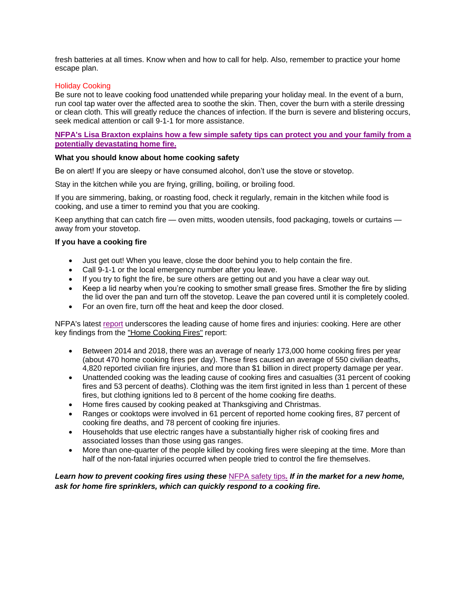fresh batteries at all times. Know when and how to call for help. Also, remember to practice your home escape plan.

## Holiday Cooking

Be sure not to leave cooking food unattended while preparing your holiday meal. In the event of a burn, run cool tap water over the affected area to soothe the skin. Then, cover the burn with a sterile dressing or clean cloth. This will greatly reduce the chances of infection. If the burn is severe and blistering occurs, seek medical attention or call 9-1-1 for more assistance.

## **[NFPA's Lisa Braxton explains how a few simple safety tips can protect you and your family from a](https://youtu.be/Dm6UMPP2z8I)  [potentially devastating home fire.](https://youtu.be/Dm6UMPP2z8I)**

# **What you should know about home cooking safety**

Be on alert! If you are sleepy or have consumed alcohol, don't use the stove or stovetop.

Stay in the kitchen while you are frying, grilling, boiling, or broiling food.

If you are simmering, baking, or roasting food, check it regularly, remain in the kitchen while food is cooking, and use a timer to remind you that you are cooking.

Keep anything that can catch fire — oven mitts, wooden utensils, food packaging, towels or curtains away from your stovetop.

# **If you have a cooking fire**

- Just get out! When you leave, close the door behind you to help contain the fire.
- Call 9-1-1 or the local emergency number after you leave.
- If you try to fight the fire, be sure others are getting out and you have a clear way out.
- Keep a lid nearby when you're cooking to smother small grease fires. Smother the fire by sliding the lid over the pan and turn off the stovetop. Leave the pan covered until it is completely cooled.
- For an oven fire, turn off the heat and keep the door closed.

NFPA's latest [report](https://www.nfpa.org/news-and-research/data-research-and-tools/us-fire-problem/home-cooking-fires) underscores the leading cause of home fires and injuries: cooking. Here are other key findings from the "Home [Cooking](https://community.nfpa.org/external-link.jspa?url=https%3A%2F%2Fwww.nfpa.org%2FNews-and-Research%2FData-research-and-tools%2FUS-Fire-Problem%2FHome-Cooking-Fires) Fires" report:

- Between 2014 and 2018, there was an average of nearly 173,000 home cooking fires per year (about 470 home cooking fires per day). These fires caused an average of 550 civilian deaths, 4,820 reported civilian fire injuries, and more than \$1 billion in direct property damage per year.
- Unattended cooking was the leading cause of cooking fires and casualties (31 percent of cooking fires and 53 percent of deaths). Clothing was the item first ignited in less than 1 percent of these fires, but clothing ignitions led to 8 percent of the home cooking fire deaths.
- Home fires caused by cooking peaked at Thanksgiving and Christmas.
- Ranges or cooktops were involved in 61 percent of reported home cooking fires, 87 percent of cooking fire deaths, and 78 percent of cooking fire injuries.
- Households that use electric ranges have a substantially higher risk of cooking fires and associated losses than those using gas ranges.
- More than one-quarter of the people killed by cooking fires were sleeping at the time. More than half of the non-fatal injuries occurred when people tried to control the fire themselves.

*Learn how to prevent cooking fires using these* [NFPA safety tips](https://www.nfpa.org/Public-Education/By-topic/Top-causes-of-fire/Cooking)*. If in the market for a new home, ask for home fire sprinklers, which can quickly respond to a cooking fire.*